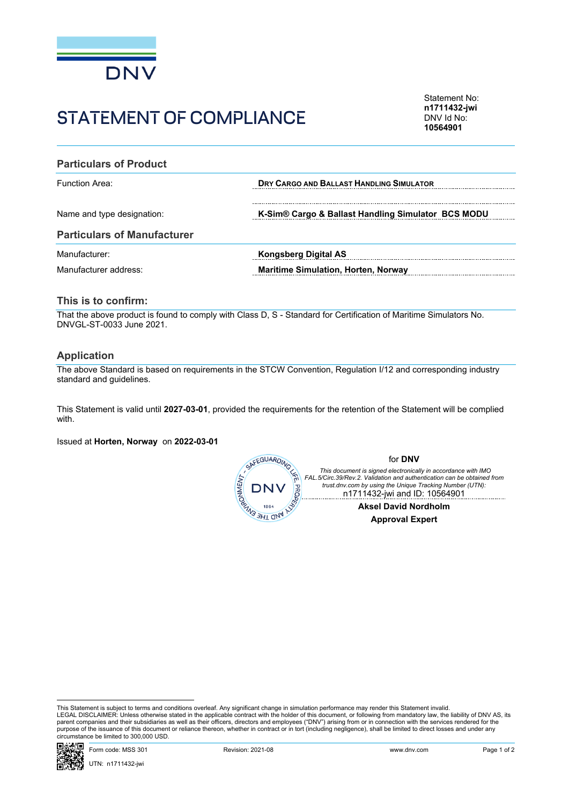

# STATEMENT OF COMPLIANCE

Statement No: **n1711432-jwi** DNV Id No: **10564901**

| <b>Particulars of Product</b>      |                                                    |  |  |  |
|------------------------------------|----------------------------------------------------|--|--|--|
| <b>Function Area:</b>              | DRY CARGO AND BALLAST HANDLING SIMULATOR           |  |  |  |
| Name and type designation:         | K-Sim® Cargo & Ballast Handling Simulator BCS MODU |  |  |  |
| <b>Particulars of Manufacturer</b> |                                                    |  |  |  |
| Manufacturer:                      | <b>Kongsberg Digital AS</b>                        |  |  |  |
| Manufacturer address:              | <b>Maritime Simulation, Horten, Norway</b>         |  |  |  |

### **This is to confirm:**

That the above product is found to comply with Class D, S - Standard for Certification of Maritime Simulators No. DNVGL-ST-0033 June 2021.

#### **Application**

The above Standard is based on requirements in the STCW Convention, Regulation I/12 and corresponding industry standard and guidelines.

This Statement is valid until **2027-03-01**, provided the requirements for the retention of the Statement will be complied with.

Issued at **Horten, Norway** on **2022-03-01**



This Statement is subject to terms and conditions overleaf. Any significant change in simulation performance may render this Statement invalid.<br>LEGAL DISCLAIMER: Unless otherwise stated in the applicable contract with the purpose of the issuance of this document or reliance thereon, whether in contract or in tort (including negligence), shall be limited to direct losses and under any circumstance be limited to 300,000 USD.